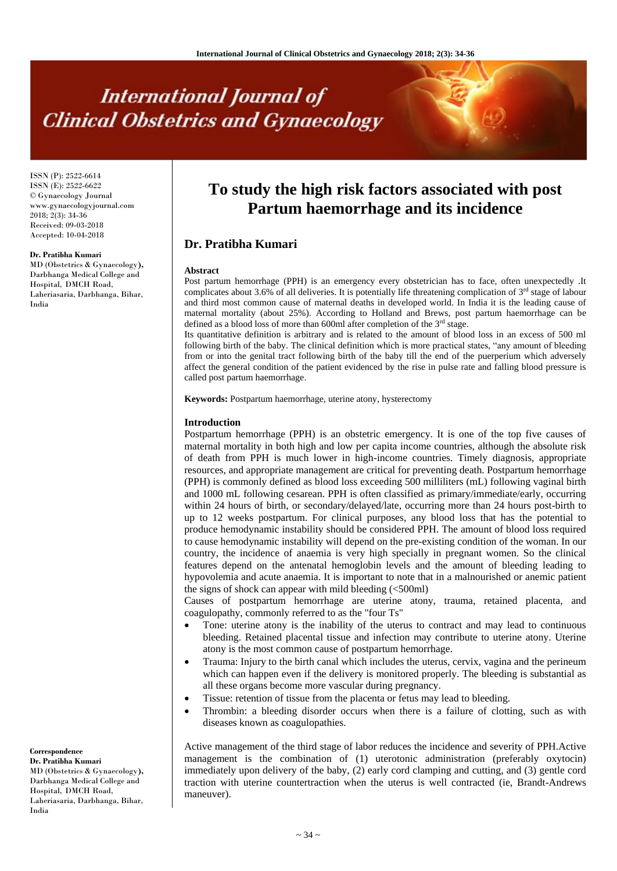# **International Journal of Clinical Obstetrics and Gynaecology**

ISSN (P): 2522-6614 ISSN (E): 2522-6622 © Gynaecology Journal www.gynaecologyjournal.com 2018; 2(3): 34-36 Received: 09-03-2018 Accepted: 10-04-2018

#### **Dr. Pratibha Kumari**

MD (Obstetrics & Gynaecology**),**  Darbhanga Medical College and Hospital, DMCH Road, Laheriasaria, Darbhanga, Bihar, India

**To study the high risk factors associated with post Partum haemorrhage and its incidence**

## **Dr. Pratibha Kumari**

#### **Abstract**

Post partum hemorrhage (PPH) is an emergency every obstetrician has to face, often unexpectedly .It complicates about 3.6% of all deliveries. It is potentially life threatening complication of  $3<sup>rd</sup>$  stage of labour and third most common cause of maternal deaths in developed world. In India it is the leading cause of maternal mortality (about 25%). According to Holland and Brews, post partum haemorrhage can be defined as a blood loss of more than 600ml after completion of the 3<sup>rd</sup> stage.

Its quantitative definition is arbitrary and is related to the amount of blood loss in an excess of 500 ml following birth of the baby. The clinical definition which is more practical states, "any amount of bleeding from or into the genital tract following birth of the baby till the end of the puerperium which adversely affect the general condition of the patient evidenced by the rise in pulse rate and falling blood pressure is called post partum haemorrhage.

**Keywords:** Postpartum haemorrhage, uterine atony, hysterectomy

#### **Introduction**

Postpartum hemorrhage (PPH) is an obstetric emergency. It is one of the top five causes of maternal mortality in both high and low per capita income countries, although the absolute risk of death from PPH is much lower in high-income countries. Timely diagnosis, appropriate resources, and appropriate management are critical for preventing death. Postpartum hemorrhage (PPH) is commonly defined as blood loss exceeding 500 milliliters (mL) following vaginal birth and 1000 mL following cesarean. PPH is often classified as primary/immediate/early, occurring within 24 hours of birth, or secondary/delayed/late, occurring more than 24 hours post-birth to up to 12 weeks postpartum. For clinical purposes, any blood loss that has the potential to produce hemodynamic instability should be considered PPH. The amount of blood loss required to cause hemodynamic instability will depend on the pre-existing condition of the woman. In our country, the incidence of anaemia is very high specially in pregnant women. So the clinical features depend on the antenatal hemoglobin levels and the amount of bleeding leading to hypovolemia and acute anaemia. It is important to note that in a malnourished or anemic patient the signs of shock can appear with mild bleeding  $\langle$  <500ml)

Causes of postpartum hemorrhage are uterine atony, trauma, retained placenta, and coagulopathy, commonly referred to as the "four Ts"

- Tone: uterine atony is the inability of the uterus to contract and may lead to continuous bleeding. Retained placental tissue and infection may contribute to uterine atony. Uterine atony is the most common cause of postpartum hemorrhage.
- Trauma: Injury to the birth canal which includes the uterus, cervix, vagina and the perineum which can happen even if the delivery is monitored properly. The bleeding is substantial as all these organs become more vascular during pregnancy.
- Tissue: retention of tissue from the placenta or fetus may lead to bleeding.
- Thrombin: a bleeding disorder occurs when there is a failure of clotting, such as with diseases known as coagulopathies.

Active management of the third stage of labor reduces the incidence and severity of PPH.Active management is the combination of (1) uterotonic administration (preferably oxytocin) immediately upon delivery of the baby, (2) early cord clamping and cutting, and (3) gentle cord traction with uterine countertraction when the uterus is well contracted (ie, Brandt-Andrews maneuver).

**Correspondence Dr. Pratibha Kumari** MD (Obstetrics & Gynaecology**),**  Darbhanga Medical College and Hospital, DMCH Road, Laheriasaria, Darbhanga, Bihar, India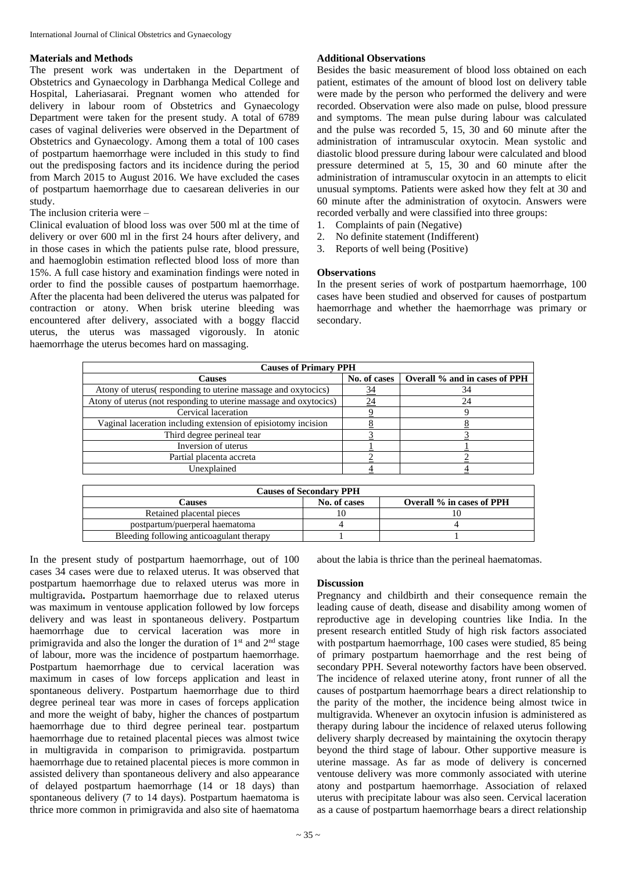#### **Materials and Methods**

The present work was undertaken in the Department of Obstetrics and Gynaecology in Darbhanga Medical College and Hospital, Laheriasarai. Pregnant women who attended for delivery in labour room of Obstetrics and Gynaecology Department were taken for the present study. A total of 6789 cases of vaginal deliveries were observed in the Department of Obstetrics and Gynaecology. Among them a total of 100 cases of postpartum haemorrhage were included in this study to find out the predisposing factors and its incidence during the period from March 2015 to August 2016. We have excluded the cases of postpartum haemorrhage due to caesarean deliveries in our study.

### The inclusion criteria were –

Clinical evaluation of blood loss was over 500 ml at the time of delivery or over 600 ml in the first 24 hours after delivery, and in those cases in which the patients pulse rate, blood pressure, and haemoglobin estimation reflected blood loss of more than 15%. A full case history and examination findings were noted in order to find the possible causes of postpartum haemorrhage. After the placenta had been delivered the uterus was palpated for contraction or atony. When brisk uterine bleeding was encountered after delivery, associated with a boggy flaccid uterus, the uterus was massaged vigorously. In atonic haemorrhage the uterus becomes hard on massaging.

#### **Additional Observations**

Besides the basic measurement of blood loss obtained on each patient, estimates of the amount of blood lost on delivery table were made by the person who performed the delivery and were recorded. Observation were also made on pulse, blood pressure and symptoms. The mean pulse during labour was calculated and the pulse was recorded 5, 15, 30 and 60 minute after the administration of intramuscular oxytocin. Mean systolic and diastolic blood pressure during labour were calculated and blood pressure determined at 5, 15, 30 and 60 minute after the administration of intramuscular oxytocin in an attempts to elicit unusual symptoms. Patients were asked how they felt at 30 and 60 minute after the administration of oxytocin. Answers were recorded verbally and were classified into three groups:

- 1. Complaints of pain (Negative)
- 2. No definite statement (Indifferent)
- 3. Reports of well being (Positive)

#### **Observations**

In the present series of work of postpartum haemorrhage, 100 cases have been studied and observed for causes of postpartum haemorrhage and whether the haemorrhage was primary or secondary.

| <b>Causes of Primary PPH</b>                                      |              |                               |  |
|-------------------------------------------------------------------|--------------|-------------------------------|--|
| <b>Causes</b>                                                     | No. of cases | Overall % and in cases of PPH |  |
| Atony of uterus(responding to uterine massage and oxytocics)      | <u>34</u>    | 34                            |  |
| Atony of uterus (not responding to uterine massage and oxytocics) | 24           | 24                            |  |
| Cervical laceration                                               |              | y.                            |  |
| Vaginal laceration including extension of episiotomy incision     |              |                               |  |
| Third degree perineal tear                                        |              |                               |  |
| Inversion of uterus                                               |              |                               |  |
| Partial placenta accreta                                          |              |                               |  |
| Unexplained                                                       |              |                               |  |
|                                                                   |              |                               |  |
| Causes of Secondary PPH                                           |              |                               |  |

| <b>Causes of Secondary PPH</b>           |              |                           |  |
|------------------------------------------|--------------|---------------------------|--|
| <b>Causes</b>                            | No. of cases | Overall % in cases of PPH |  |
| Retained placental pieces                |              |                           |  |
| postpartum/puerperal haematoma           |              |                           |  |
| Bleeding following anticoagulant therapy |              |                           |  |
|                                          |              |                           |  |

In the present study of postpartum haemorrhage, out of 100 cases 34 cases were due to relaxed uterus. It was observed that postpartum haemorrhage due to relaxed uterus was more in multigravida**.** Postpartum haemorrhage due to relaxed uterus was maximum in ventouse application followed by low forceps delivery and was least in spontaneous delivery. Postpartum haemorrhage due to cervical laceration was more in primigravida and also the longer the duration of  $1<sup>st</sup>$  and  $2<sup>nd</sup>$  stage of labour, more was the incidence of postpartum haemorrhage. Postpartum haemorrhage due to cervical laceration was maximum in cases of low forceps application and least in spontaneous delivery. Postpartum haemorrhage due to third degree perineal tear was more in cases of forceps application and more the weight of baby, higher the chances of postpartum haemorrhage due to third degree perineal tear. postpartum haemorrhage due to retained placental pieces was almost twice in multigravida in comparison to primigravida. postpartum haemorrhage due to retained placental pieces is more common in assisted delivery than spontaneous delivery and also appearance of delayed postpartum haemorrhage (14 or 18 days) than spontaneous delivery (7 to 14 days). Postpartum haematoma is thrice more common in primigravida and also site of haematoma

about the labia is thrice than the perineal haematomas.

## **Discussion**

Pregnancy and childbirth and their consequence remain the leading cause of death, disease and disability among women of reproductive age in developing countries like India. In the present research entitled Study of high risk factors associated with postpartum haemorrhage, 100 cases were studied, 85 being of primary postpartum haemorrhage and the rest being of secondary PPH. Several noteworthy factors have been observed. The incidence of relaxed uterine atony, front runner of all the causes of postpartum haemorrhage bears a direct relationship to the parity of the mother, the incidence being almost twice in multigravida. Whenever an oxytocin infusion is administered as therapy during labour the incidence of relaxed uterus following delivery sharply decreased by maintaining the oxytocin therapy beyond the third stage of labour. Other supportive measure is uterine massage. As far as mode of delivery is concerned ventouse delivery was more commonly associated with uterine atony and postpartum haemorrhage. Association of relaxed uterus with precipitate labour was also seen. Cervical laceration as a cause of postpartum haemorrhage bears a direct relationship